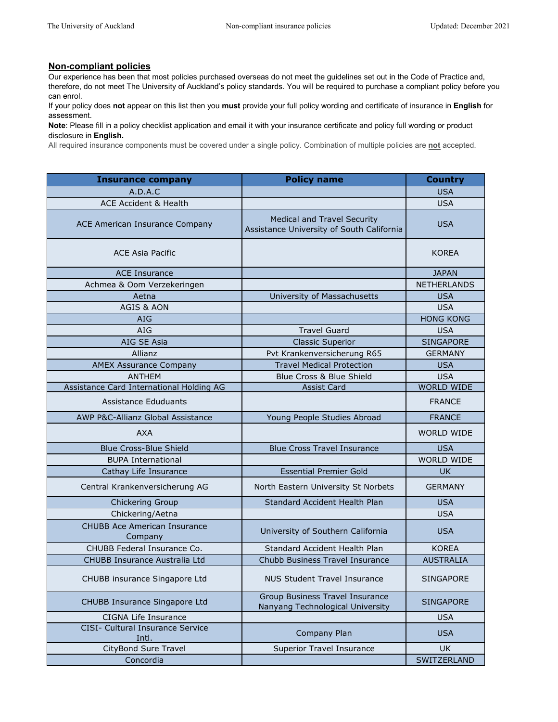## **Non-compliant policies**

Our experience has been that most policies purchased overseas do not meet the guidelines set out in the Code of Practice and, therefore, do not meet The University of Auckland's policy standards. You will be required to purchase a compliant policy before you can enrol.

If your policy does **not** appear on this list then you **must** provide your full policy wording and certificate of insurance in **English** for assessment.

**Note**: Please fill in a policy checklist application and email it with your insurance certificate and policy full wording or product disclosure in **English.**

All required insurance components must be covered under a single policy. Combination of multiple policies are **not** accepted.

| <b>Insurance company</b>                         | <b>Policy name</b>                                                              | <b>Country</b>     |
|--------------------------------------------------|---------------------------------------------------------------------------------|--------------------|
| A.D.A.C                                          |                                                                                 | <b>USA</b>         |
| <b>ACE Accident &amp; Health</b>                 |                                                                                 | <b>USA</b>         |
| ACE American Insurance Company                   | <b>Medical and Travel Security</b><br>Assistance University of South California | <b>USA</b>         |
| <b>ACE Asia Pacific</b>                          |                                                                                 | <b>KOREA</b>       |
| <b>ACE Insurance</b>                             |                                                                                 | <b>JAPAN</b>       |
| Achmea & Oom Verzekeringen                       |                                                                                 | <b>NETHERLANDS</b> |
| Aetna                                            | University of Massachusetts                                                     | <b>USA</b>         |
| <b>AGIS &amp; AON</b>                            |                                                                                 | <b>USA</b>         |
| <b>AIG</b>                                       |                                                                                 | <b>HONG KONG</b>   |
| AIG                                              | <b>Travel Guard</b>                                                             | <b>USA</b>         |
| AIG SE Asia                                      | <b>Classic Superior</b>                                                         | <b>SINGAPORE</b>   |
| Allianz                                          | Pvt Krankenversicherung R65                                                     | <b>GERMANY</b>     |
| <b>AMEX Assurance Company</b>                    | <b>Travel Medical Protection</b>                                                | <b>USA</b>         |
| <b>ANTHEM</b>                                    | Blue Cross & Blue Shield                                                        | <b>USA</b>         |
| Assistance Card International Holding AG         | Assist Card                                                                     | <b>WORLD WIDE</b>  |
| Assistance Eduduants                             |                                                                                 | <b>FRANCE</b>      |
| AWP P&C-Allianz Global Assistance                | Young People Studies Abroad                                                     | <b>FRANCE</b>      |
| <b>AXA</b>                                       |                                                                                 | <b>WORLD WIDE</b>  |
| <b>Blue Cross-Blue Shield</b>                    | <b>Blue Cross Travel Insurance</b>                                              | <b>USA</b>         |
| <b>BUPA International</b>                        |                                                                                 | <b>WORLD WIDE</b>  |
| Cathay Life Insurance                            | <b>Essential Premier Gold</b>                                                   | UK.                |
| Central Krankenversicherung AG                   | North Eastern University St Norbets                                             | <b>GERMANY</b>     |
| Chickering Group                                 | Standard Accident Health Plan                                                   | <b>USA</b>         |
| Chickering/Aetna                                 |                                                                                 | <b>USA</b>         |
| <b>CHUBB Ace American Insurance</b><br>Company   | University of Southern California                                               | <b>USA</b>         |
| CHUBB Federal Insurance Co.                      | Standard Accident Health Plan                                                   | <b>KOREA</b>       |
| CHUBB Insurance Australia Ltd                    | Chubb Business Travel Insurance                                                 | <b>AUSTRALIA</b>   |
| CHUBB insurance Singapore Ltd                    | <b>NUS Student Travel Insurance</b>                                             | <b>SINGAPORE</b>   |
| CHUBB Insurance Singapore Ltd                    | Group Business Travel Insurance<br>Nanyang Technological University             | <b>SINGAPORE</b>   |
| CIGNA Life Insurance                             |                                                                                 | <b>USA</b>         |
| <b>CISI- Cultural Insurance Service</b><br>Intl. | Company Plan                                                                    | <b>USA</b>         |
| CityBond Sure Travel                             | <b>Superior Travel Insurance</b>                                                | <b>UK</b>          |
| Concordia                                        |                                                                                 | SWITZERLAND        |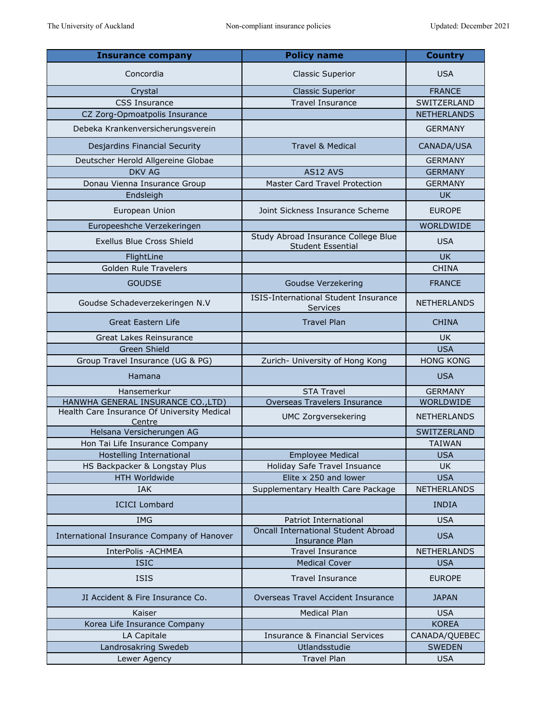| <b>Insurance company</b>                              | <b>Policy name</b>                                              | <b>Country</b>     |
|-------------------------------------------------------|-----------------------------------------------------------------|--------------------|
| Concordia                                             | <b>Classic Superior</b>                                         | <b>USA</b>         |
| Crystal                                               | <b>Classic Superior</b>                                         | <b>FRANCE</b>      |
| <b>CSS Insurance</b>                                  | <b>Travel Insurance</b>                                         | SWITZERLAND        |
| CZ Zorg-Opmoatpolis Insurance                         |                                                                 | <b>NETHERLANDS</b> |
| Debeka Krankenversicherungsverein                     |                                                                 | <b>GERMANY</b>     |
| Desjardins Financial Security                         | <b>Travel &amp; Medical</b>                                     | CANADA/USA         |
| Deutscher Herold Allgereine Globae                    |                                                                 | <b>GERMANY</b>     |
| <b>DKV AG</b>                                         | AS12 AVS                                                        | <b>GERMANY</b>     |
| Donau Vienna Insurance Group                          | Master Card Travel Protection                                   | <b>GERMANY</b>     |
| Endsleigh                                             |                                                                 | <b>UK</b>          |
| European Union                                        | Joint Sickness Insurance Scheme                                 | <b>EUROPE</b>      |
| Europeeshche Verzekeringen                            |                                                                 | <b>WORLDWIDE</b>   |
| <b>Exellus Blue Cross Shield</b>                      | Study Abroad Insurance College Blue<br><b>Student Essential</b> | <b>USA</b>         |
| FlightLine                                            |                                                                 | <b>UK</b>          |
| <b>Golden Rule Travelers</b>                          |                                                                 | <b>CHINA</b>       |
| <b>GOUDSE</b>                                         | Goudse Verzekering                                              | <b>FRANCE</b>      |
| Goudse Schadeverzekeringen N.V                        | ISIS-International Student Insurance<br>Services                | <b>NETHERLANDS</b> |
| <b>Great Eastern Life</b>                             | <b>Travel Plan</b>                                              | <b>CHINA</b>       |
| Great Lakes Reinsurance                               |                                                                 | UK.                |
| Green Shield                                          |                                                                 | <b>USA</b>         |
| Group Travel Insurance (UG & PG)                      | Zurich- University of Hong Kong                                 | <b>HONG KONG</b>   |
| Hamana                                                |                                                                 | <b>USA</b>         |
| Hansemerkur                                           | <b>STA Travel</b>                                               | <b>GERMANY</b>     |
| HANWHA GENERAL INSURANCE CO., LTD)                    | Overseas Travelers Insurance                                    | WORLDWIDE          |
| Health Care Insurance Of University Medical<br>Centre | <b>UMC Zorgversekering</b>                                      | <b>NETHERLANDS</b> |
| Helsana Versicherungen AG                             |                                                                 | SWITZERLAND        |
| Hon Tai Life Insurance Company                        |                                                                 | <b>TAIWAN</b>      |
| Hostelling International                              | Employee Medical                                                | <b>USA</b>         |
| HS Backpacker & Longstay Plus                         | Holiday Safe Travel Insuance                                    | UK.                |
| <b>HTH Worldwide</b>                                  | Elite x 250 and lower                                           | <b>USA</b>         |
| <b>IAK</b>                                            | Supplementary Health Care Package                               | <b>NETHERLANDS</b> |
| <b>ICICI Lombard</b>                                  |                                                                 | <b>INDIA</b>       |
| <b>IMG</b>                                            | Patriot International                                           | <b>USA</b>         |
| International Insurance Company of Hanover            | Oncall International Student Abroad<br>Insurance Plan           | <b>USA</b>         |
| InterPolis - ACHMEA                                   | <b>Travel Insurance</b>                                         | <b>NETHERLANDS</b> |
| <b>ISIC</b>                                           | <b>Medical Cover</b>                                            | <b>USA</b>         |
| <b>ISIS</b>                                           | <b>Travel Insurance</b>                                         | <b>EUROPE</b>      |
| JI Accident & Fire Insurance Co.                      | Overseas Travel Accident Insurance                              | <b>JAPAN</b>       |
| Kaiser                                                | <b>Medical Plan</b>                                             | <b>USA</b>         |
| Korea Life Insurance Company                          |                                                                 | <b>KOREA</b>       |
| LA Capitale                                           | <b>Insurance &amp; Financial Services</b>                       | CANADA/QUEBEC      |
| Landrosakring Swedeb                                  | Utlandsstudie                                                   | <b>SWEDEN</b>      |
| Lewer Agency                                          | <b>Travel Plan</b>                                              | <b>USA</b>         |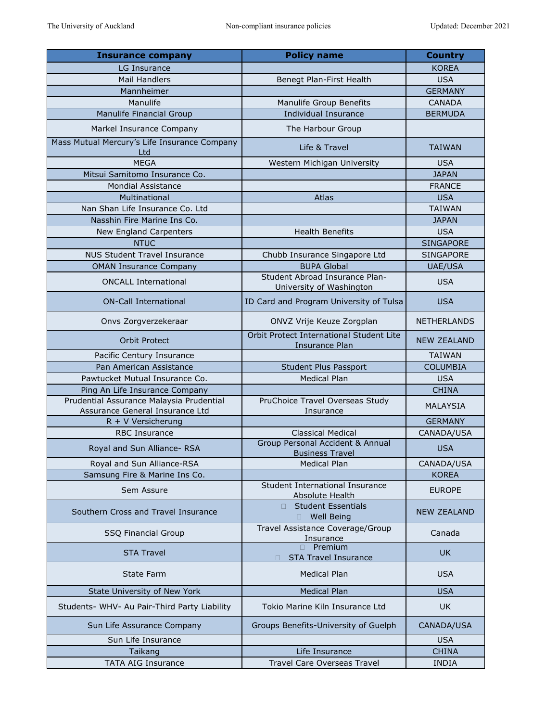| <b>Insurance company</b>                                                    | <b>Policy name</b>                                                | <b>Country</b>     |
|-----------------------------------------------------------------------------|-------------------------------------------------------------------|--------------------|
| LG Insurance                                                                |                                                                   | <b>KOREA</b>       |
| <b>Mail Handlers</b>                                                        | Benegt Plan-First Health                                          | <b>USA</b>         |
| Mannheimer                                                                  |                                                                   | <b>GERMANY</b>     |
| Manulife                                                                    | Manulife Group Benefits                                           | <b>CANADA</b>      |
| Manulife Financial Group                                                    | <b>Individual Insurance</b>                                       | <b>BERMUDA</b>     |
| Markel Insurance Company                                                    | The Harbour Group                                                 |                    |
| Mass Mutual Mercury's Life Insurance Company<br>Ltd                         | Life & Travel                                                     | <b>TAIWAN</b>      |
| <b>MEGA</b>                                                                 | Western Michigan University                                       | <b>USA</b>         |
| Mitsui Samitomo Insurance Co.                                               |                                                                   | <b>JAPAN</b>       |
| <b>Mondial Assistance</b>                                                   |                                                                   | <b>FRANCE</b>      |
| Multinational                                                               | Atlas                                                             | <b>USA</b>         |
| Nan Shan Life Insurance Co. Ltd                                             |                                                                   | <b>TAIWAN</b>      |
| Nasshin Fire Marine Ins Co.                                                 |                                                                   | <b>JAPAN</b>       |
| <b>New England Carpenters</b>                                               | <b>Health Benefits</b>                                            | <b>USA</b>         |
| <b>NTUC</b>                                                                 |                                                                   | <b>SINGAPORE</b>   |
| <b>NUS Student Travel Insurance</b>                                         | Chubb Insurance Singapore Ltd                                     | <b>SINGAPORE</b>   |
| <b>OMAN Insurance Company</b>                                               | <b>BUPA Global</b>                                                | <b>UAE/USA</b>     |
| <b>ONCALL International</b>                                                 | Student Abroad Insurance Plan-<br>University of Washington        | <b>USA</b>         |
| <b>ON-Call International</b>                                                | ID Card and Program University of Tulsa                           | <b>USA</b>         |
| Onvs Zorgverzekeraar                                                        | ONVZ Vrije Keuze Zorgplan                                         | <b>NETHERLANDS</b> |
| <b>Orbit Protect</b>                                                        | Orbit Protect International Student Lite<br><b>Insurance Plan</b> | <b>NEW ZEALAND</b> |
| Pacific Century Insurance                                                   |                                                                   | <b>TAIWAN</b>      |
| Pan American Assistance                                                     | Student Plus Passport                                             | <b>COLUMBIA</b>    |
| Pawtucket Mutual Insurance Co.                                              | <b>Medical Plan</b>                                               | <b>USA</b>         |
| Ping An Life Insurance Company                                              |                                                                   | <b>CHINA</b>       |
| Prudential Assurance Malaysia Prudential<br>Assurance General Insurance Ltd | PruChoice Travel Overseas Study<br>Insurance                      | MALAYSIA           |
| R + V Versicherung                                                          |                                                                   | <b>GERMANY</b>     |
| <b>RBC Insurance</b>                                                        | <b>Classical Medical</b>                                          | CANADA/USA         |
| Royal and Sun Alliance-RSA                                                  | Group Personal Accident & Annual<br><b>Business Travel</b>        | <b>USA</b>         |
| Royal and Sun Alliance-RSA                                                  | <b>Medical Plan</b>                                               | CANADA/USA         |
| Samsung Fire & Marine Ins Co.                                               |                                                                   | <b>KOREA</b>       |
| Sem Assure                                                                  | Student International Insurance<br>Absolute Health                | <b>EUROPE</b>      |
| Southern Cross and Travel Insurance                                         | □ Student Essentials<br><b>Well Being</b><br>$\Box$               | <b>NEW ZEALAND</b> |
| <b>SSQ Financial Group</b>                                                  | Travel Assistance Coverage/Group<br>Insurance                     | Canada             |
| <b>STA Travel</b>                                                           | <b>Premium</b><br><b>STA Travel Insurance</b>                     | <b>UK</b>          |
| State Farm                                                                  | <b>Medical Plan</b>                                               | <b>USA</b>         |
| State University of New York                                                | <b>Medical Plan</b>                                               | <b>USA</b>         |
| Students- WHV- Au Pair-Third Party Liability                                | Tokio Marine Kiln Insurance Ltd                                   | <b>UK</b>          |
| Sun Life Assurance Company                                                  | Groups Benefits-University of Guelph                              | CANADA/USA         |
| Sun Life Insurance                                                          |                                                                   | <b>USA</b>         |
| Taikang                                                                     | Life Insurance                                                    | <b>CHINA</b>       |
| <b>TATA AIG Insurance</b>                                                   | Travel Care Overseas Travel                                       | <b>INDIA</b>       |